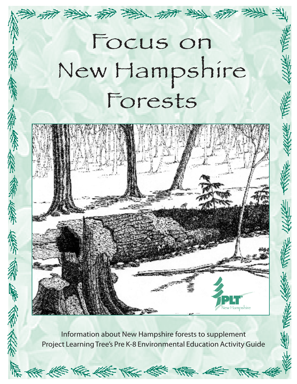# Focus on New Hampshire Forests

医性系数



無所 須神 偏和

Information about New Hampshire forests to supplement Project Learning Tree's Pre K-8 Environmental Education Activity Guide

**KE KE KE KE KE**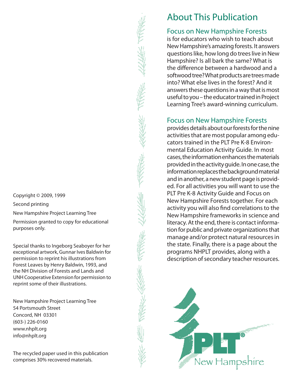Copyright © 2009, 1999

Second printing

New Hampshire Project Learning Tree

Permission granted to copy for educational purposes only.

Special thanks to Ingeborg Seaboyer for her exceptional artwork, Gunnar Ives Baldwin for permission to reprint his illustrations from Forest Leaves by Henry Baldwin, 1993, and the NH Division of Forests and Lands and UNH Cooperative Extension for permission to reprint some of their illustrations.

New Hampshire Project Learning Tree 54 Portsmouth Street Concord, NH 03301 (603-) 226-0160 www.nhplt.org info@nhplt.org

The recycled paper used in this publication comprises 30% recovered materials.

# About This Publication

#### Focus on New Hampshire Forests

is for educators who wish to teach about New Hampshire's amazing forests. It answers questions like, how long do trees live in New Hampshire? Is all bark the same? What is the difference between a hardwood and a softwood tree? What products are trees made into? What else lives in the forest? And it answers these questions in a way that is most useful to you – the educator trained in Project Learning Tree's award-winning curriculum.

#### Focus on New Hampshire Forests

provides details about our forests for the nine activities that are most popular among educators trained in the PLT Pre K-8 Environmental Education Activity Guide. In most cases, the information enhances the materials provided in the activity guide. In one case, the information replaces the background material and in another, a new student page is provided. For all activities you will want to use the PLT Pre K-8 Activity Guide and Focus on New Hampshire Forests together. For each activity you will also find correlations to the New Hampshire frameworks in science and literacy. At the end, there is contact information for public and private organizations that manage and/or protect natural resources in the state. Finally, there is a page about the programs NHPLT provides, along with a description of secondary teacher resources.